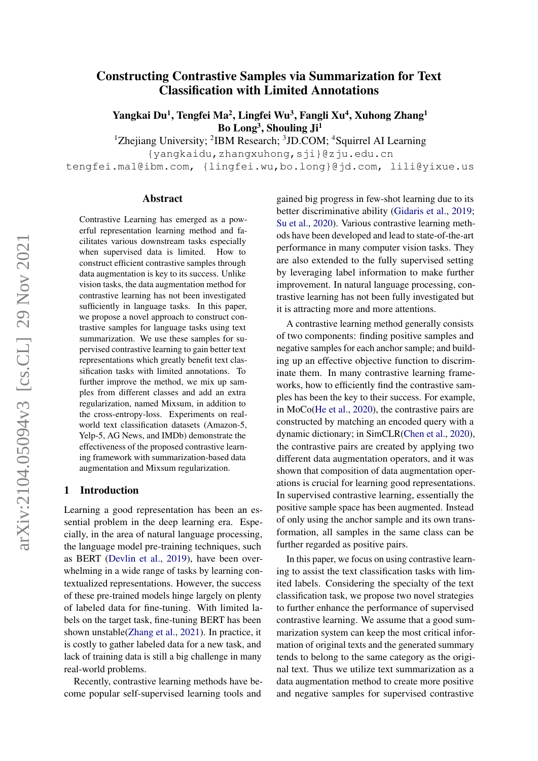# arXiv:2104.05094v3 [cs.CL] 29 Nov 2021 arXiv:2104.05094v3 [cs.CL] 29 Nov 2021

# Constructing Contrastive Samples via Summarization for Text Classification with Limited Annotations

Yangkai Du<sup>1</sup>, Tengfei Ma<sup>2</sup>, Lingfei Wu<sup>3</sup>, Fangli Xu<sup>4</sup>, Xuhong Zhang<sup>1</sup> Bo Long<sup>3</sup>, Shouling Ji<sup>1</sup>

<sup>1</sup>Zhejiang University; <sup>2</sup>IBM Research; <sup>3</sup>JD.COM; <sup>4</sup>Squirrel AI Learning

{yangkaidu,zhangxuhong,sji}@zju.edu.cn

tengfei.ma1@ibm.com, {lingfei.wu,bo.long}@jd.com, lili@yixue.us

#### Abstract

Contrastive Learning has emerged as a powerful representation learning method and facilitates various downstream tasks especially when supervised data is limited. How to construct efficient contrastive samples through data augmentation is key to its success. Unlike vision tasks, the data augmentation method for contrastive learning has not been investigated sufficiently in language tasks. In this paper, we propose a novel approach to construct contrastive samples for language tasks using text summarization. We use these samples for supervised contrastive learning to gain better text representations which greatly benefit text classification tasks with limited annotations. To further improve the method, we mix up samples from different classes and add an extra regularization, named Mixsum, in addition to the cross-entropy-loss. Experiments on realworld text classification datasets (Amazon-5, Yelp-5, AG News, and IMDb) demonstrate the effectiveness of the proposed contrastive learning framework with summarization-based data augmentation and Mixsum regularization.

# 1 Introduction

Learning a good representation has been an essential problem in the deep learning era. Especially, in the area of natural language processing, the language model pre-training techniques, such as BERT [\(Devlin et al.,](#page-8-0) [2019\)](#page-8-0), have been overwhelming in a wide range of tasks by learning contextualized representations. However, the success of these pre-trained models hinge largely on plenty of labeled data for fine-tuning. With limited labels on the target task, fine-tuning BERT has been shown unstable[\(Zhang et al.,](#page-9-0) [2021\)](#page-9-0). In practice, it is costly to gather labeled data for a new task, and lack of training data is still a big challenge in many real-world problems.

Recently, contrastive learning methods have become popular self-supervised learning tools and

gained big progress in few-shot learning due to its better discriminative ability [\(Gidaris et al.,](#page-8-1) [2019;](#page-8-1) [Su et al.,](#page-9-1) [2020\)](#page-9-1). Various contrastive learning methods have been developed and lead to state-of-the-art performance in many computer vision tasks. They are also extended to the fully supervised setting by leveraging label information to make further improvement. In natural language processing, contrastive learning has not been fully investigated but it is attracting more and more attentions.

A contrastive learning method generally consists of two components: finding positive samples and negative samples for each anchor sample; and building up an effective objective function to discriminate them. In many contrastive learning frameworks, how to efficiently find the contrastive samples has been the key to their success. For example, in MoCo[\(He et al.,](#page-9-2) [2020\)](#page-9-2), the contrastive pairs are constructed by matching an encoded query with a dynamic dictionary; in SimCLR[\(Chen et al.,](#page-8-2) [2020\)](#page-8-2), the contrastive pairs are created by applying two different data augmentation operators, and it was shown that composition of data augmentation operations is crucial for learning good representations. In supervised contrastive learning, essentially the positive sample space has been augmented. Instead of only using the anchor sample and its own transformation, all samples in the same class can be further regarded as positive pairs.

In this paper, we focus on using contrastive learning to assist the text classification tasks with limited labels. Considering the specialty of the text classification task, we propose two novel strategies to further enhance the performance of supervised contrastive learning. We assume that a good summarization system can keep the most critical information of original texts and the generated summary tends to belong to the same category as the original text. Thus we utilize text summarization as a data augmentation method to create more positive and negative samples for supervised contrastive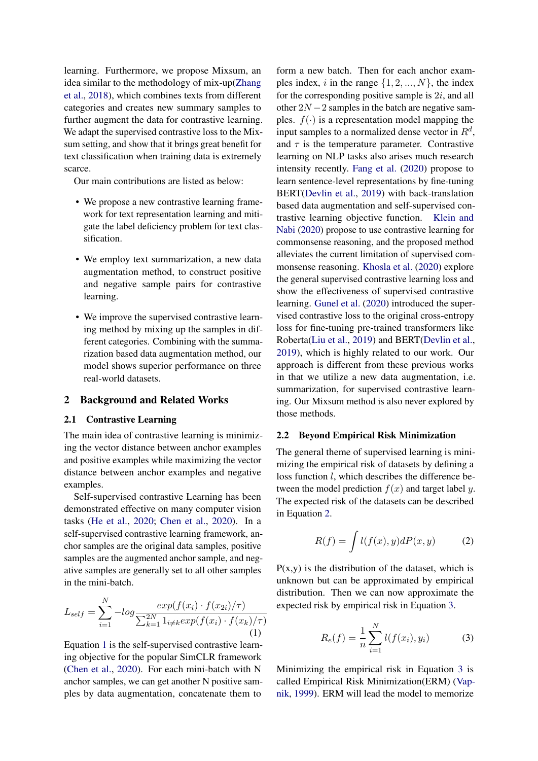learning. Furthermore, we propose Mixsum, an idea similar to the methodology of mix-up[\(Zhang](#page-9-3) [et al.,](#page-9-3) [2018\)](#page-9-3), which combines texts from different categories and creates new summary samples to further augment the data for contrastive learning. We adapt the supervised contrastive loss to the Mixsum setting, and show that it brings great benefit for text classification when training data is extremely scarce.

Our main contributions are listed as below:

- We propose a new contrastive learning framework for text representation learning and mitigate the label deficiency problem for text classification.
- We employ text summarization, a new data augmentation method, to construct positive and negative sample pairs for contrastive learning.
- We improve the supervised contrastive learning method by mixing up the samples in different categories. Combining with the summarization based data augmentation method, our model shows superior performance on three real-world datasets.

# 2 Background and Related Works

### 2.1 Contrastive Learning

The main idea of contrastive learning is minimizing the vector distance between anchor examples and positive examples while maximizing the vector distance between anchor examples and negative examples.

Self-supervised contrastive Learning has been demonstrated effective on many computer vision tasks [\(He et al.,](#page-9-2) [2020;](#page-9-2) [Chen et al.,](#page-8-2) [2020\)](#page-8-2). In a self-supervised contrastive learning framework, anchor samples are the original data samples, positive samples are the augmented anchor sample, and negative samples are generally set to all other samples in the mini-batch.

<span id="page-1-0"></span>
$$
L_{self} = \sum_{i=1}^{N} -log \frac{exp(f(x_i) \cdot f(x_{2i})/\tau)}{\sum_{k=1}^{2N} 1_{i \neq k} exp(f(x_i) \cdot f(x_k)/\tau)}
$$
(1)

Equation [1](#page-1-0) is the self-supervised contrastive learning objective for the popular SimCLR framework [\(Chen et al.,](#page-8-2) [2020\)](#page-8-2). For each mini-batch with N anchor samples, we can get another N positive samples by data augmentation, concatenate them to

form a new batch. Then for each anchor examples index, i in the range  $\{1, 2, ..., N\}$ , the index for the corresponding positive sample is  $2i$ , and all other  $2N - 2$  samples in the batch are negative samples.  $f(\cdot)$  is a representation model mapping the input samples to a normalized dense vector in  $R^d$ , and  $\tau$  is the temperature parameter. Contrastive learning on NLP tasks also arises much research intensity recently. [Fang et al.](#page-8-3) [\(2020\)](#page-8-3) propose to learn sentence-level representations by fine-tuning BERT[\(Devlin et al.,](#page-8-0) [2019\)](#page-8-0) with back-translation based data augmentation and self-supervised contrastive learning objective function. [Klein and](#page-9-4) [Nabi](#page-9-4) [\(2020\)](#page-9-4) propose to use contrastive learning for commonsense reasoning, and the proposed method alleviates the current limitation of supervised commonsense reasoning. [Khosla et al.](#page-9-5) [\(2020\)](#page-9-5) explore the general supervised contrastive learning loss and show the effectiveness of supervised contrastive learning. [Gunel et al.](#page-9-6) [\(2020\)](#page-9-6) introduced the supervised contrastive loss to the original cross-entropy loss for fine-tuning pre-trained transformers like Roberta[\(Liu et al.,](#page-9-7) [2019\)](#page-9-7) and BERT[\(Devlin et al.,](#page-8-0) [2019\)](#page-8-0), which is highly related to our work. Our approach is different from these previous works in that we utilize a new data augmentation, i.e. summarization, for supervised contrastive learning. Our Mixsum method is also never explored by those methods.

#### 2.2 Beyond Empirical Risk Minimization

The general theme of supervised learning is minimizing the empirical risk of datasets by defining a loss function l, which describes the difference between the model prediction  $f(x)$  and target label y. The expected risk of the datasets can be described in Equation [2.](#page-1-1)

<span id="page-1-1"></span>
$$
R(f) = \int l(f(x), y)dP(x, y) \tag{2}
$$

 $P(x,y)$  is the distribution of the dataset, which is unknown but can be approximated by empirical distribution. Then we can now approximate the expected risk by empirical risk in Equation [3.](#page-1-2)

<span id="page-1-2"></span>
$$
R_e(f) = \frac{1}{n} \sum_{i=1}^{N} l(f(x_i), y_i)
$$
 (3)

Minimizing the empirical risk in Equation [3](#page-1-2) is called Empirical Risk Minimization(ERM) [\(Vap](#page-9-8)[nik,](#page-9-8) [1999\)](#page-9-8). ERM will lead the model to memorize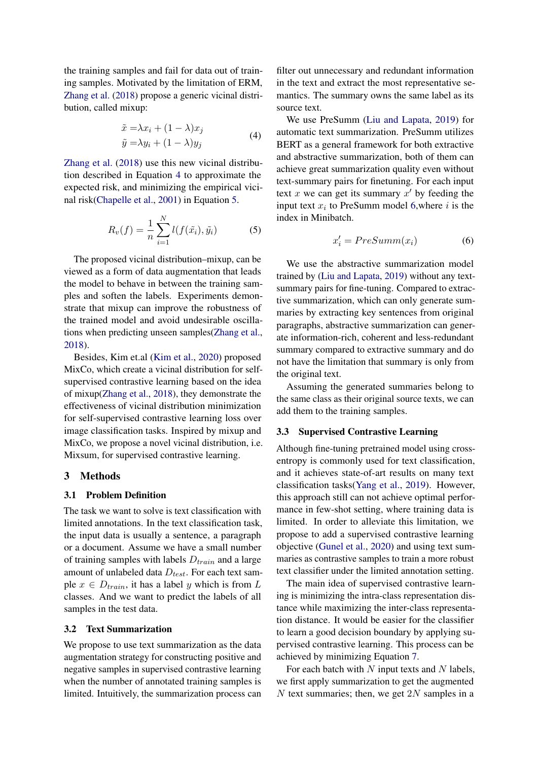the training samples and fail for data out of training samples. Motivated by the limitation of ERM, [Zhang et al.](#page-9-3) [\(2018\)](#page-9-3) propose a generic vicinal distribution, called mixup:

<span id="page-2-0"></span>
$$
\tilde{x} = \lambda x_i + (1 - \lambda)x_j
$$
  
\n
$$
\tilde{y} = \lambda y_i + (1 - \lambda)y_j
$$
\n(4)

[Zhang et al.](#page-9-3) [\(2018\)](#page-9-3) use this new vicinal distribution described in Equation [4](#page-2-0) to approximate the expected risk, and minimizing the empirical vicinal risk[\(Chapelle et al.,](#page-8-4) [2001\)](#page-8-4) in Equation [5.](#page-2-1)

$$
R_v(f) = \frac{1}{n} \sum_{i=1}^{N} l(f(\tilde{x}_i), \tilde{y}_i)
$$
 (5)

The proposed vicinal distribution–mixup, can be viewed as a form of data augmentation that leads the model to behave in between the training samples and soften the labels. Experiments demonstrate that mixup can improve the robustness of the trained model and avoid undesirable oscillations when predicting unseen samples[\(Zhang et al.,](#page-9-3) [2018\)](#page-9-3).

Besides, Kim et.al [\(Kim et al.,](#page-9-9) [2020\)](#page-9-9) proposed MixCo, which create a vicinal distribution for selfsupervised contrastive learning based on the idea of mixup[\(Zhang et al.,](#page-9-3) [2018\)](#page-9-3), they demonstrate the effectiveness of vicinal distribution minimization for self-supervised contrastive learning loss over image classification tasks. Inspired by mixup and MixCo, we propose a novel vicinal distribution, i.e. Mixsum, for supervised contrastive learning.

#### <span id="page-2-4"></span>3 Methods

# 3.1 Problem Definition

The task we want to solve is text classification with limited annotations. In the text classification task, the input data is usually a sentence, a paragraph or a document. Assume we have a small number of training samples with labels  $D_{train}$  and a large amount of unlabeled data  $D_{test}$ . For each text sample  $x \in D_{train}$ , it has a label y which is from L classes. And we want to predict the labels of all samples in the test data.

#### 3.2 Text Summarization

We propose to use text summarization as the data augmentation strategy for constructing positive and negative samples in supervised contrastive learning when the number of annotated training samples is limited. Intuitively, the summarization process can

filter out unnecessary and redundant information in the text and extract the most representative semantics. The summary owns the same label as its source text.

We use PreSumm [\(Liu and Lapata,](#page-9-10) [2019\)](#page-9-10) for automatic text summarization. PreSumm utilizes BERT as a general framework for both extractive and abstractive summarization, both of them can achieve great summarization quality even without text-summary pairs for finetuning. For each input text  $x$  we can get its summary  $x'$  by feeding the input text  $x_i$  to PreSumm model [6,](#page-2-2) where  $i$  is the index in Minibatch.

<span id="page-2-2"></span>
$$
x_i' = PreSumm(x_i) \tag{6}
$$

<span id="page-2-1"></span>We use the abstractive summarization model trained by [\(Liu and Lapata,](#page-9-10) [2019\)](#page-9-10) without any textsummary pairs for fine-tuning. Compared to extractive summarization, which can only generate summaries by extracting key sentences from original paragraphs, abstractive summarization can generate information-rich, coherent and less-redundant summary compared to extractive summary and do not have the limitation that summary is only from the original text.

Assuming the generated summaries belong to the same class as their original source texts, we can add them to the training samples.

# <span id="page-2-3"></span>3.3 Supervised Contrastive Learning

Although fine-tuning pretrained model using crossentropy is commonly used for text classification, and it achieves state-of-art results on many text classification tasks[\(Yang et al.,](#page-9-11) [2019\)](#page-9-11). However, this approach still can not achieve optimal performance in few-shot setting, where training data is limited. In order to alleviate this limitation, we propose to add a supervised contrastive learning objective [\(Gunel et al.,](#page-9-6) [2020\)](#page-9-6) and using text summaries as contrastive samples to train a more robust text classifier under the limited annotation setting.

The main idea of supervised contrastive learning is minimizing the intra-class representation distance while maximizing the inter-class representation distance. It would be easier for the classifier to learn a good decision boundary by applying supervised contrastive learning. This process can be achieved by minimizing Equation [7.](#page-3-0)

For each batch with  $N$  input texts and  $N$  labels, we first apply summarization to get the augmented  $N$  text summaries; then, we get  $2N$  samples in a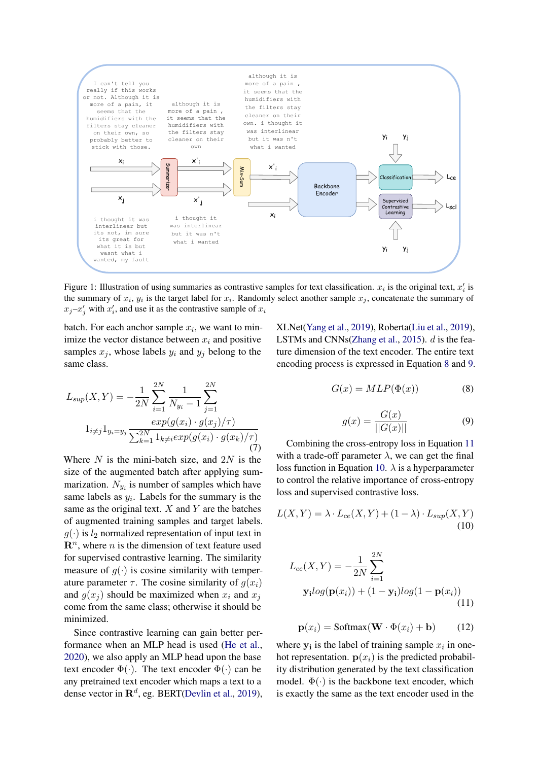<span id="page-3-5"></span>

Figure 1: Illustration of using summaries as contrastive samples for text classification.  $x_i$  is the original text,  $x'_i$  is the summary of  $x_i$ ,  $y_i$  is the target label for  $x_i$ . Randomly select another sample  $x_j$ , concatenate the summary of  $x_j - x'_j$  with  $x'_i$ , and use it as the contrastive sample of  $x_i$ 

batch. For each anchor sample  $x_i$ , we want to minimize the vector distance between  $x_i$  and positive samples  $x_i$ , whose labels  $y_i$  and  $y_j$  belong to the same class.

<span id="page-3-0"></span>
$$
L_{sup}(X,Y) = -\frac{1}{2N} \sum_{i=1}^{2N} \frac{1}{N_{y_i} - 1} \sum_{j=1}^{2N}
$$
  

$$
1_{i \neq j} 1_{y_i = y_j} \frac{exp(g(x_i) \cdot g(x_j)/\tau)}{\sum_{k=1}^{2N} 1_{k \neq i} exp(g(x_i) \cdot g(x_k)/\tau)}
$$
(7)

Where  $N$  is the mini-batch size, and  $2N$  is the size of the augmented batch after applying summarization.  $N_{y_i}$  is number of samples which have same labels as  $y_i$ . Labels for the summary is the same as the original text.  $X$  and  $Y$  are the batches of augmented training samples and target labels.  $g(\cdot)$  is  $l_2$  normalized representation of input text in  $\mathbf{R}^n$ , where *n* is the dimension of text feature used for supervised contrastive learning. The similarity measure of  $q(\cdot)$  is cosine similarity with temperature parameter  $\tau$ . The cosine similarity of  $q(x_i)$ and  $g(x_i)$  should be maximized when  $x_i$  and  $x_j$ come from the same class; otherwise it should be minimized.

Since contrastive learning can gain better performance when an MLP head is used [\(He et al.,](#page-9-2) [2020\)](#page-9-2), we also apply an MLP head upon the base text encoder  $\Phi(\cdot)$ . The text encoder  $\Phi(\cdot)$  can be any pretrained text encoder which maps a text to a dense vector in  $\mathbb{R}^d$ , eg. BERT[\(Devlin et al.,](#page-8-0) [2019\)](#page-8-0),

<span id="page-3-1"></span>XLNet[\(Yang et al.,](#page-9-11) [2019\)](#page-9-11), Roberta[\(Liu et al.,](#page-9-7) [2019\)](#page-9-7), LSTMs and CNNs[\(Zhang et al.,](#page-9-12) [2015\)](#page-9-12). d is the feature dimension of the text encoder. The entire text encoding process is expressed in Equation [8](#page-3-1) and [9.](#page-3-2)

$$
G(x) = MLP(\Phi(x))
$$
 (8)

<span id="page-3-4"></span>
$$
g(x) = \frac{G(x)}{||G(x)||} \tag{9}
$$

<span id="page-3-2"></span>Combining the cross-entropy loss in Equation [11](#page-3-3) with a trade-off parameter  $\lambda$ , we can get the final loss function in Equation [10.](#page-3-4)  $\lambda$  is a hyperparameter to control the relative importance of cross-entropy loss and supervised contrastive loss.

<span id="page-3-3"></span>
$$
L(X,Y) = \lambda \cdot L_{ce}(X,Y) + (1-\lambda) \cdot L_{sup}(X,Y)
$$
\n(10)

$$
L_{ce}(X, Y) = -\frac{1}{2N} \sum_{i=1}^{2N}
$$
  

$$
\mathbf{y}_{i} log(\mathbf{p}(x_{i})) + (1 - \mathbf{y}_{i}) log(1 - \mathbf{p}(x_{i}))
$$
(11)

$$
\mathbf{p}(x_i) = \text{Softmax}(\mathbf{W} \cdot \Phi(x_i) + \mathbf{b}) \tag{12}
$$

where  $y_i$  is the label of training sample  $x_i$  in onehot representation.  $p(x_i)$  is the predicted probability distribution generated by the text classification model.  $\Phi(\cdot)$  is the backbone text encoder, which is exactly the same as the text encoder used in the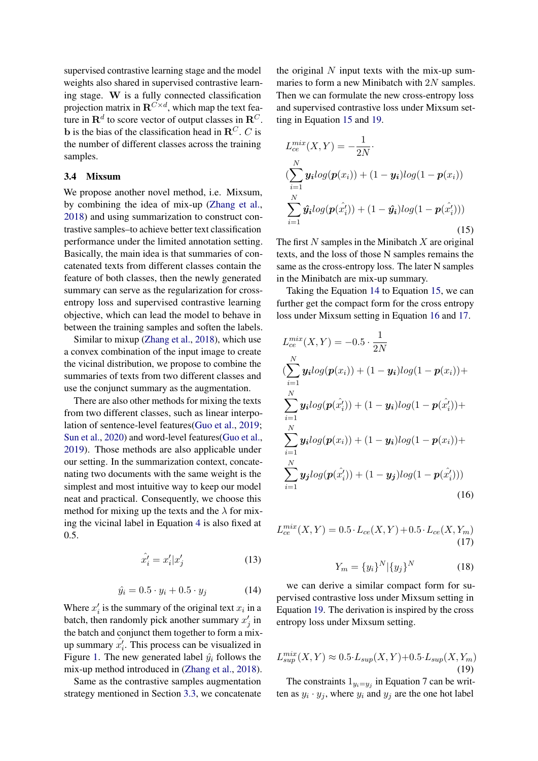supervised contrastive learning stage and the model weights also shared in supervised contrastive learning stage. W is a fully connected classification projection matrix in  $\mathbf{R}^{C \times d}$ , which map the text feature in  $\mathbf{R}^d$  to score vector of output classes in  $\mathbf{R}^C$ . b is the bias of the classification head in  $\mathbb{R}^C$ . C is the number of different classes across the training samples.

#### <span id="page-4-5"></span>3.4 Mixsum

We propose another novel method, i.e. Mixsum, by combining the idea of mix-up [\(Zhang et al.,](#page-9-3) [2018\)](#page-9-3) and using summarization to construct contrastive samples–to achieve better text classification performance under the limited annotation setting. Basically, the main idea is that summaries of concatenated texts from different classes contain the feature of both classes, then the newly generated summary can serve as the regularization for crossentropy loss and supervised contrastive learning objective, which can lead the model to behave in between the training samples and soften the labels.

Similar to mixup [\(Zhang et al.,](#page-9-3) [2018\)](#page-9-3), which use a convex combination of the input image to create the vicinal distribution, we propose to combine the summaries of texts from two different classes and use the conjunct summary as the augmentation.

There are also other methods for mixing the texts from two different classes, such as linear interpolation of sentence-level features[\(Guo et al.,](#page-9-13) [2019;](#page-9-13) [Sun et al.,](#page-9-14) [2020\)](#page-9-14) and word-level features[\(Guo et al.,](#page-9-13) [2019\)](#page-9-13). Those methods are also applicable under our setting. In the summarization context, concatenating two documents with the same weight is the simplest and most intuitive way to keep our model neat and practical. Consequently, we choose this method for mixing up the texts and the  $\lambda$  for mixing the vicinal label in Equation [4](#page-2-0) is also fixed at 0.5.

$$
\hat{x}'_i = x'_i | x'_j \tag{13}
$$

$$
\hat{y}_i = 0.5 \cdot y_i + 0.5 \cdot y_j \tag{14}
$$

<span id="page-4-2"></span>Where  $x'_i$  is the summary of the original text  $x_i$  in a batch, then randomly pick another summary  $x'_j$  in the batch and conjunct them together to form a mixup summary  $\hat{x}'_i$ . This process can be visualized in Figure [1.](#page-3-5) The new generated label  $\hat{y}_i$  follows the mix-up method introduced in [\(Zhang et al.,](#page-9-3) [2018\)](#page-9-3).

Same as the contrastive samples augmentation strategy mentioned in Section [3.3,](#page-2-3) we concatenate the original  $N$  input texts with the mix-up summaries to form a new Minibatch with 2N samples. Then we can formulate the new cross-entropy loss and supervised contrastive loss under Mixsum setting in Equation [15](#page-4-0) and [19.](#page-4-1)

<span id="page-4-0"></span>
$$
L_{ce}^{mix}(X, Y) = -\frac{1}{2N} \cdot \left( \sum_{i=1}^{N} \mathbf{y}_i \log(\mathbf{p}(x_i)) + (1 - \mathbf{y}_i) \log(1 - \mathbf{p}(x_i)) \right)
$$
  

$$
\sum_{i=1}^{N} \hat{\mathbf{y}}_i \log(\mathbf{p}(\hat{x}'_i)) + (1 - \hat{\mathbf{y}}_i) \log(1 - \mathbf{p}(\hat{x}'_i))) \tag{15}
$$

The first  $N$  samples in the Minibatch  $X$  are original texts, and the loss of those N samples remains the same as the cross-entropy loss. The later N samples in the Minibatch are mix-up summary.

Taking the Equation [14](#page-4-2) to Equation [15,](#page-4-0) we can further get the compact form for the cross entropy loss under Mixsum setting in Equation [16](#page-4-3) and [17.](#page-4-4)

<span id="page-4-3"></span>
$$
L_{ce}^{mix}(X, Y) = -0.5 \cdot \frac{1}{2N}
$$
  
\n
$$
(\sum_{i=1}^{N} y_i log(p(x_i)) + (1 - y_i) log(1 - p(x_i)) +
$$
  
\n
$$
\sum_{i=1}^{N} y_i log(p(x_i')) + (1 - y_i) log(1 - p(x_i')) +
$$
  
\n
$$
\sum_{i=1}^{N} y_i log(p(x_i)) + (1 - y_i) log(1 - p(x_i)) +
$$
  
\n
$$
\sum_{i=1}^{N} y_j log(p(x_i')) + (1 - y_j) log(1 - p(x_i'))
$$
  
\n(16)

<span id="page-4-4"></span>
$$
L_{ce}^{mix}(X, Y) = 0.5 \cdot L_{ce}(X, Y) + 0.5 \cdot L_{ce}(X, Y_m)
$$
\n(17)

$$
Y_m = \{y_i\}^N |\{y_j\}^N \tag{18}
$$

we can derive a similar compact form for supervised contrastive loss under Mixsum setting in Equation [19.](#page-4-1) The derivation is inspired by the cross entropy loss under Mixsum setting.

<span id="page-4-1"></span>
$$
L_{sup}^{mix}(X,Y) \approx 0.5 \cdot L_{sup}(X,Y) + 0.5 \cdot L_{sup}(X,Y_m)
$$
\n(19)

The constraints  $1_{y_i=y_j}$  in Equation 7 can be written as  $y_i \cdot y_j$ , where  $y_i$  and  $y_j$  are the one hot label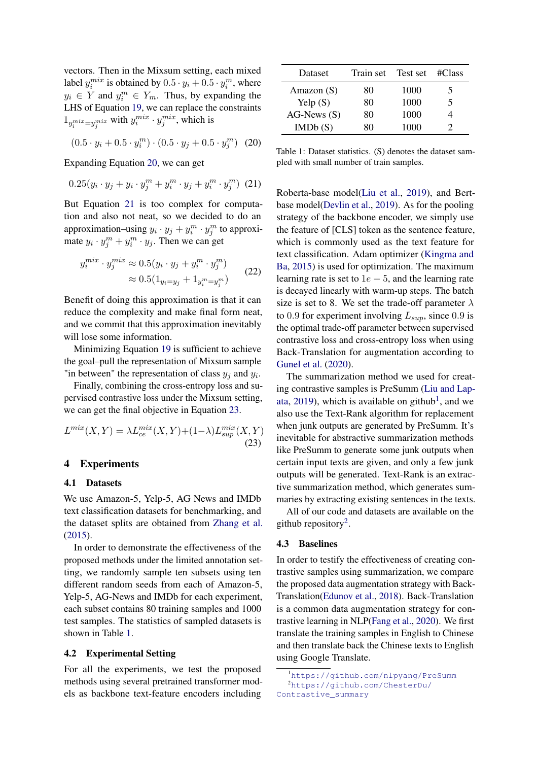vectors. Then in the Mixsum setting, each mixed label  $y_i^{mix}$  is obtained by  $0.5 \cdot y_i + 0.5 \cdot y_i^m$ , where  $y_i \in Y$  and  $y_i^m \in Y_m$ . Thus, by expanding the LHS of Equation [19,](#page-4-1) we can replace the constraints  $1_{y_i^{mix}=y_j^{mix}}$  with  $y_i^{mix} \cdot y_j^{mix}$ , which is

$$
(0.5 \cdot y_i + 0.5 \cdot y_i^m) \cdot (0.5 \cdot y_j + 0.5 \cdot y_j^m) \tag{20}
$$

Expanding Equation [20,](#page-5-0) we can get

$$
0.25(y_i \cdot y_j + y_i \cdot y_j^m + y_i^m \cdot y_j + y_i^m \cdot y_j^m) (21)
$$

But Equation [21](#page-5-1) is too complex for computation and also not neat, so we decided to do an approximation–using  $y_i \cdot y_j + y_i^m \cdot y_j^m$  to approximate  $y_i \cdot y_j^m + y_i^m \cdot y_j$ . Then we can get

$$
y_i^{mix} \cdot y_j^{mix} \approx 0.5(y_i \cdot y_j + y_i^m \cdot y_j^m) \approx 0.5(1_{y_i = y_j} + 1_{y_i^m = y_j^m})
$$
 (22)

Benefit of doing this approximation is that it can reduce the complexity and make final form neat, and we commit that this approximation inevitably will lose some information.

Minimizing Equation [19](#page-4-1) is sufficient to achieve the goal–pull the representation of Mixsum sample "in between" the representation of class  $y_j$  and  $y_i$ .

Finally, combining the cross-entropy loss and supervised contrastive loss under the Mixsum setting, we can get the final objective in Equation [23.](#page-5-2)

$$
L^{mix}(X,Y) = \lambda L_{ce}^{mix}(X,Y) + (1-\lambda)L_{sup}^{mix}(X,Y)
$$
\n(23)

### <span id="page-5-8"></span>4 Experiments

# 4.1 Datasets

We use Amazon-5, Yelp-5, AG News and IMDb text classification datasets for benchmarking, and the dataset splits are obtained from [Zhang et al.](#page-9-12) [\(2015\)](#page-9-12).

In order to demonstrate the effectiveness of the proposed methods under the limited annotation setting, we randomly sample ten subsets using ten different random seeds from each of Amazon-5, Yelp-5, AG-News and IMDb for each experiment, each subset contains 80 training samples and 1000 test samples. The statistics of sampled datasets is shown in Table [1.](#page-5-3)

#### <span id="page-5-7"></span>4.2 Experimental Setting

For all the experiments, we test the proposed methods using several pretrained transformer models as backbone text-feature encoders including

<span id="page-5-3"></span>

| Dataset             | Train set | Test set | $\#Class$ |
|---------------------|-----------|----------|-----------|
| Amazon $(S)$        | 80        | 1000     | 5         |
| Yelp(S)             | 80        | 1000     | 5         |
| $AG\text{-}News(S)$ | 80        | 1000     |           |
| IMDb(S)             | 80        | 1000     | 2         |

<span id="page-5-1"></span><span id="page-5-0"></span>Table 1: Dataset statistics. (S) denotes the dataset sampled with small number of train samples.

Roberta-base model[\(Liu et al.,](#page-9-7) [2019\)](#page-9-7), and Bertbase model[\(Devlin et al.,](#page-8-0) [2019\)](#page-8-0). As for the pooling strategy of the backbone encoder, we simply use the feature of [CLS] token as the sentence feature, which is commonly used as the text feature for text classification. Adam optimizer [\(Kingma and](#page-9-15) [Ba,](#page-9-15) [2015\)](#page-9-15) is used for optimization. The maximum learning rate is set to  $1e - 5$ , and the learning rate is decayed linearly with warm-up steps. The batch size is set to 8. We set the trade-off parameter  $\lambda$ to 0.9 for experiment involving  $L_{sun}$ , since 0.9 is the optimal trade-off parameter between supervised contrastive loss and cross-entropy loss when using Back-Translation for augmentation according to [Gunel et al.](#page-9-6) [\(2020\)](#page-9-6).

<span id="page-5-2"></span>The summarization method we used for creating contrastive samples is PreSumm [\(Liu and Lap](#page-9-10)[ata,](#page-9-10) [2019\)](#page-9-10), which is available on github<sup>[1](#page-5-4)</sup>, and we also use the Text-Rank algorithm for replacement when junk outputs are generated by PreSumm. It's inevitable for abstractive summarization methods like PreSumm to generate some junk outputs when certain input texts are given, and only a few junk outputs will be generated. Text-Rank is an extractive summarization method, which generates summaries by extracting existing sentences in the texts.

All of our code and datasets are available on the github repository<sup>[2](#page-5-5)</sup>.

#### <span id="page-5-6"></span>4.3 Baselines

In order to testify the effectiveness of creating contrastive samples using summarization, we compare the proposed data augmentation strategy with Back-Translation[\(Edunov et al.,](#page-8-5) [2018\)](#page-8-5). Back-Translation is a common data augmentation strategy for contrastive learning in NLP[\(Fang et al.,](#page-8-3) [2020\)](#page-8-3). We first translate the training samples in English to Chinese and then translate back the Chinese texts to English using Google Translate.

<span id="page-5-5"></span><span id="page-5-4"></span><sup>1</sup><https://github.com/nlpyang/PreSumm> <sup>2</sup>[https://github.com/ChesterDu/](https://github.com/ChesterDu/Contrastive_summary) [Contrastive\\_summary](https://github.com/ChesterDu/Contrastive_summary)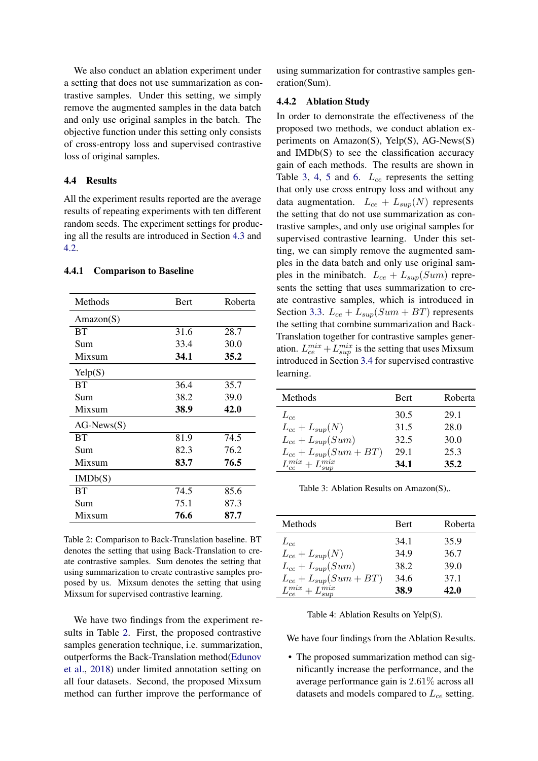We also conduct an ablation experiment under a setting that does not use summarization as contrastive samples. Under this setting, we simply remove the augmented samples in the data batch and only use original samples in the batch. The objective function under this setting only consists of cross-entropy loss and supervised contrastive loss of original samples.

# 4.4 Results

All the experiment results reported are the average results of repeating experiments with ten different random seeds. The experiment settings for producing all the results are introduced in Section [4.3](#page-5-6) and [4.2.](#page-5-7)

# 4.4.1 Comparison to Baseline

<span id="page-6-0"></span>

| Methods             | Bert | Roberta |
|---------------------|------|---------|
| Amazon(S)           |      |         |
| <b>BT</b>           | 31.6 | 28.7    |
| Sum                 | 33.4 | 30.0    |
| Mixsum              | 34.1 | 35.2    |
| $\text{Yelp}(S)$    |      |         |
| <b>BT</b>           | 36.4 | 35.7    |
| Sum                 | 38.2 | 39.0    |
| Mixsum              | 38.9 | 42.0    |
| $AG\text{-}News(S)$ |      |         |
| <b>BT</b>           | 81.9 | 74.5    |
| Sum                 | 82.3 | 76.2    |
| Mixsum              | 83.7 | 76.5    |
| IMDb(S)             |      |         |
| BT                  | 74.5 | 85.6    |
| Sum                 | 75.1 | 87.3    |
| Mixsum              | 76.6 | 87.7    |

Table 2: Comparison to Back-Translation baseline. BT denotes the setting that using Back-Translation to create contrastive samples. Sum denotes the setting that using summarization to create contrastive samples proposed by us. Mixsum denotes the setting that using Mixsum for supervised contrastive learning.

We have two findings from the experiment results in Table [2.](#page-6-0) First, the proposed contrastive samples generation technique, i.e. summarization, outperforms the Back-Translation method[\(Edunov](#page-8-5) [et al.,](#page-8-5) [2018\)](#page-8-5) under limited annotation setting on all four datasets. Second, the proposed Mixsum method can further improve the performance of

using summarization for contrastive samples generation(Sum).

#### <span id="page-6-3"></span>4.4.2 Ablation Study

In order to demonstrate the effectiveness of the proposed two methods, we conduct ablation experiments on Amazon(S), Yelp(S), AG-News(S) and IMDb(S) to see the classification accuracy gain of each methods. The results are shown in Table [3,](#page-6-1) [4,](#page-6-2) [5](#page-7-0) and [6.](#page-7-1)  $L_{ce}$  represents the setting that only use cross entropy loss and without any data augmentation.  $L_{ce} + L_{sup}(N)$  represents the setting that do not use summarization as contrastive samples, and only use original samples for supervised contrastive learning. Under this setting, we can simply remove the augmented samples in the data batch and only use original samples in the minibatch.  $L_{ce} + L_{sup}(Sum)$  represents the setting that uses summarization to create contrastive samples, which is introduced in Section [3.3.](#page-2-3)  $L_{ce} + L_{sun}(Sum + BT)$  represents the setting that combine summarization and Back-Translation together for contrastive samples generation.  $L_{ce}^{mix} + L_{sup}^{mix}$  is the setting that uses Mixsum introduced in Section [3.4](#page-4-5) for supervised contrastive learning.

<span id="page-6-1"></span>

| Methods                      | <b>Bert</b> | Roberta |
|------------------------------|-------------|---------|
| $L_{ce}$                     | 30.5        | 29.1    |
| $L_{ce} + L_{sup}(N)$        | 31.5        | 28.0    |
| $L_{ce} + L_{sup}(Sum)$      | 32.5        | 30.0    |
| $L_{ce} + L_{sup}(Sum + BT)$ | 29.1        | 25.3    |
| $L_{ce}^{mix}+L_{sup}^{mix}$ | 34.1        | 35.2    |

Table 3: Ablation Results on Amazon(S),.

<span id="page-6-2"></span>

| Methods                        | <b>Bert</b> | Roberta |
|--------------------------------|-------------|---------|
| $L_{ce}$                       | 34.1        | 35.9    |
| $L_{ce} + L_{sup}(N)$          | 34.9        | 36.7    |
| $L_{ce} + L_{sup}(Sum)$        | 38.2        | 39.0    |
| $L_{ce} + L_{sup}(Sum + BT)$   | 34.6        | 37.1    |
| $L_{ce}^{mix} + L_{sup}^{mix}$ | 38.9        | 42.0    |

Table 4: Ablation Results on Yelp(S).

We have four findings from the Ablation Results.

• The proposed summarization method can significantly increase the performance, and the average performance gain is 2.61% across all datasets and models compared to  $L_{ce}$  setting.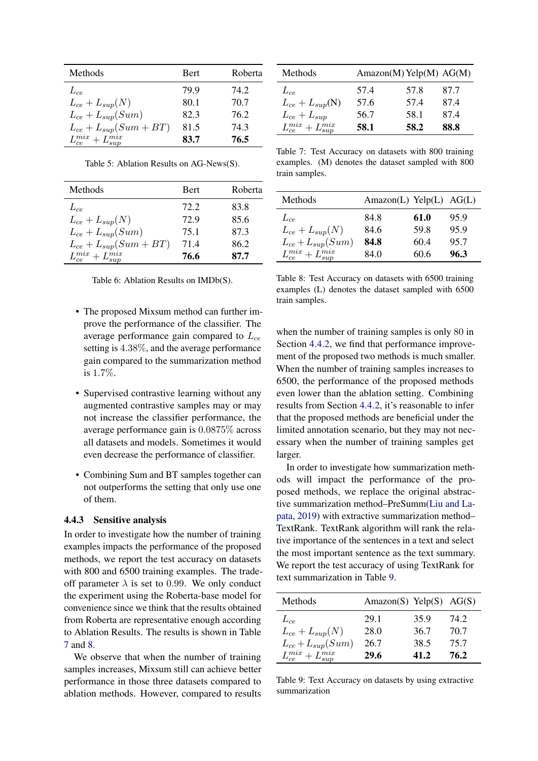<span id="page-7-0"></span>

| Methods                      | <b>Bert</b> | Roberta |
|------------------------------|-------------|---------|
| $L_{ce}$                     | 79.9        | 74.2    |
| $L_{ce} + L_{sup}(N)$        | 80.1        | 70.7    |
| $L_{ce} + L_{sup}(Sum)$      | 82.3        | 76.2    |
| $L_{ce} + L_{sup}(Sum + BT)$ | 81.5        | 74.3    |
| $L_{ce}^{mix}+L_{sun}^{mix}$ | 83.7        | 76.5    |

Table 5: Ablation Results on AG-News(S).

<span id="page-7-1"></span>

| Methods                        | Bert | Roberta |
|--------------------------------|------|---------|
| $L_{ce}$                       | 72.2 | 83.8    |
| $L_{ce} + L_{sup}(N)$          | 72.9 | 85.6    |
| $L_{ce} + L_{sup}(Sum)$        | 75.1 | 87.3    |
| $L_{ce} + L_{sup}(Sum + BT)$   | 71.4 | 86.2    |
| $L_{ce}^{mix} + L_{sup}^{mix}$ | 76.6 | 87.7    |

|  | Table 6: Ablation Results on IMDb(S). |  |  |  |  |
|--|---------------------------------------|--|--|--|--|
|--|---------------------------------------|--|--|--|--|

- The proposed Mixsum method can further improve the performance of the classifier. The average performance gain compared to  $L_{ce}$ setting is 4.38%, and the average performance gain compared to the summarization method is 1.7%.
- Supervised contrastive learning without any augmented contrastive samples may or may not increase the classifier performance, the average performance gain is 0.0875% across all datasets and models. Sometimes it would even decrease the performance of classifier.
- Combining Sum and BT samples together can not outperforms the setting that only use one of them.

### 4.4.3 Sensitive analysis

In order to investigate how the number of training examples impacts the performance of the proposed methods, we report the test accuracy on datasets with 800 and 6500 training examples. The tradeoff parameter  $\lambda$  is set to 0.99. We only conduct the experiment using the Roberta-base model for convenience since we think that the results obtained from Roberta are representative enough according to Ablation Results. The results is shown in Table [7](#page-7-2) and [8.](#page-7-3)

We observe that when the number of training samples increases, Mixsum still can achieve better performance in those three datasets compared to ablation methods. However, compared to results

<span id="page-7-2"></span>

| Methods                                              |      | $Amazon(M)$ Yelp(M) $AG(M)$ |      |
|------------------------------------------------------|------|-----------------------------|------|
| $L_{ce}$                                             | 57.4 | 57.8                        | 87.7 |
| $L_{ce} + L_{sup}(N)$                                | 57.6 | 57.4                        | 87.4 |
|                                                      | 56.7 | 58.1                        | 87.4 |
| $L_{ce} + L_{sup}$<br>$L_{ce}^{mix} + L_{sup}^{mix}$ | 58.1 | 58.2                        | 88.8 |

Table 7: Test Accuracy on datasets with 800 training examples. (M) denotes the dataset sampled with 800 train samples.

<span id="page-7-3"></span>

| Methods                        | $Amazon(L)$ Yelp $(L)$ AG $(L)$ |      |      |
|--------------------------------|---------------------------------|------|------|
| $L_{ce}$                       | 84.8                            | 61.0 | 95.9 |
| $L_{ce} + L_{sup}(N)$          | 84.6                            | 59.8 | 95.9 |
| $L_{ce} + L_{sup}(Sum)$        | 84.8                            | 60.4 | 95.7 |
| $L_{ce}^{mix} + L_{sup}^{mix}$ | 84.0                            | 60.6 | 96.3 |

Table 8: Test Accuracy on datasets with 6500 training examples (L) denotes the dataset sampled with 6500 train samples.

when the number of training samples is only 80 in Section [4.4.2,](#page-6-3) we find that performance improvement of the proposed two methods is much smaller. When the number of training samples increases to 6500, the performance of the proposed methods even lower than the ablation setting. Combining results from Section [4.4.2,](#page-6-3) it's reasonable to infer that the proposed methods are beneficial under the limited annotation scenario, but they may not necessary when the number of training samples get larger.

In order to investigate how summarization methods will impact the performance of the proposed methods, we replace the original abstractive summarization method–PreSumm[\(Liu and La](#page-9-10)[pata,](#page-9-10) [2019\)](#page-9-10) with extractive summarization method– TextRank. TextRank algorithm will rank the relative importance of the sentences in a text and select the most important sentence as the text summary. We report the test accuracy of using TextRank for text summarization in Table [9.](#page-7-4)

<span id="page-7-4"></span>

| Methods                        | Amazon(S) Yelp(S) $AG(S)$ |      |      |
|--------------------------------|---------------------------|------|------|
| $L_{ce}$                       | 29.1                      | 35.9 | 74.2 |
| $L_{ce} + L_{sup}(N)$          | 28.0                      | 36.7 | 70.7 |
| $L_{ce} + L_{sup}(Sum)$        | 26.7                      | 38.5 | 75.7 |
| $L_{ce}^{mix} + L_{sup}^{mix}$ | 29.6                      | 41.2 | 76.2 |

Table 9: Text Accuracy on datasets by using extractive summarization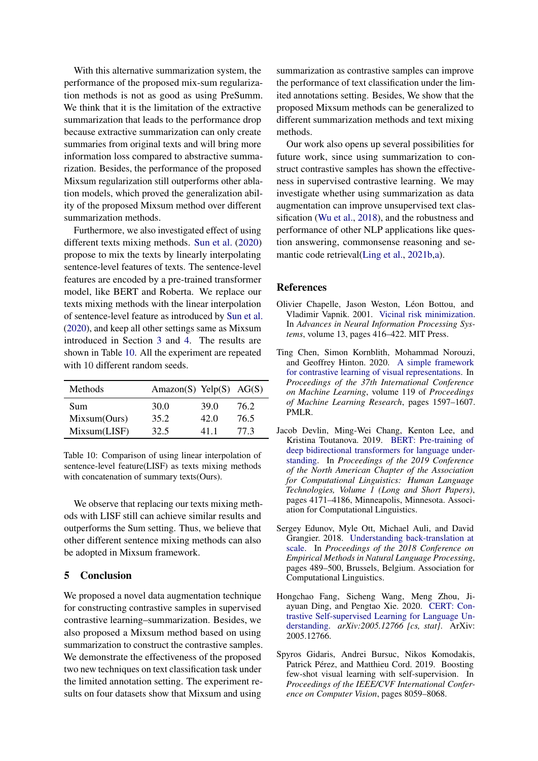With this alternative summarization system, the performance of the proposed mix-sum regularization methods is not as good as using PreSumm. We think that it is the limitation of the extractive summarization that leads to the performance drop because extractive summarization can only create summaries from original texts and will bring more information loss compared to abstractive summarization. Besides, the performance of the proposed Mixsum regularization still outperforms other ablation models, which proved the generalization ability of the proposed Mixsum method over different summarization methods.

Furthermore, we also investigated effect of using different texts mixing methods. [Sun et al.](#page-9-14) [\(2020\)](#page-9-14) propose to mix the texts by linearly interpolating sentence-level features of texts. The sentence-level features are encoded by a pre-trained transformer model, like BERT and Roberta. We replace our texts mixing methods with the linear interpolation of sentence-level feature as introduced by [Sun et al.](#page-9-14) [\(2020\)](#page-9-14), and keep all other settings same as Mixsum introduced in Section [3](#page-2-4) and [4.](#page-5-8) The results are shown in Table [10.](#page-8-6) All the experiment are repeated with 10 different random seeds.

<span id="page-8-6"></span>

| Methods      | Amazon(S) Yelp(S) $AG(S)$ |      |      |
|--------------|---------------------------|------|------|
| Sum          | 30.0                      | 39.0 | 76.2 |
| Mixsum(Ours) | 35.2                      | 42.0 | 76.5 |
| Mixsum(LISF) | 32.5                      | 411  | 77.3 |

Table 10: Comparison of using linear interpolation of sentence-level feature(LISF) as texts mixing methods with concatenation of summary texts(Ours).

We observe that replacing our texts mixing methods with LISF still can achieve similar results and outperforms the Sum setting. Thus, we believe that other different sentence mixing methods can also be adopted in Mixsum framework.

### 5 Conclusion

We proposed a novel data augmentation technique for constructing contrastive samples in supervised contrastive learning–summarization. Besides, we also proposed a Mixsum method based on using summarization to construct the contrastive samples. We demonstrate the effectiveness of the proposed two new techniques on text classification task under the limited annotation setting. The experiment results on four datasets show that Mixsum and using summarization as contrastive samples can improve the performance of text classification under the limited annotations setting. Besides, We show that the proposed Mixsum methods can be generalized to different summarization methods and text mixing methods.

Our work also opens up several possibilities for future work, since using summarization to construct contrastive samples has shown the effectiveness in supervised contrastive learning. We may investigate whether using summarization as data augmentation can improve unsupervised text classification [\(Wu et al.,](#page-9-16) [2018\)](#page-9-16), and the robustness and performance of other NLP applications like question answering, commonsense reasoning and semantic code retrieval[\(Ling et al.,](#page-9-17) [2021b,](#page-9-17)[a\)](#page-9-18).

#### References

- <span id="page-8-4"></span>Olivier Chapelle, Jason Weston, Léon Bottou, and Vladimir Vapnik. 2001. [Vicinal risk minimization.](https://proceedings.neurips.cc/paper/2000/file/ba9a56ce0a9bfa26e8ed9e10b2cc8f46-Paper.pdf) In *Advances in Neural Information Processing Systems*, volume 13, pages 416–422. MIT Press.
- <span id="page-8-2"></span>Ting Chen, Simon Kornblith, Mohammad Norouzi, and Geoffrey Hinton. 2020. [A simple framework](http://proceedings.mlr.press/v119/chen20j.html) [for contrastive learning of visual representations.](http://proceedings.mlr.press/v119/chen20j.html) In *Proceedings of the 37th International Conference on Machine Learning*, volume 119 of *Proceedings of Machine Learning Research*, pages 1597–1607. PMLR.
- <span id="page-8-0"></span>Jacob Devlin, Ming-Wei Chang, Kenton Lee, and Kristina Toutanova. 2019. [BERT: Pre-training of](https://doi.org/10.18653/v1/N19-1423) [deep bidirectional transformers for language under](https://doi.org/10.18653/v1/N19-1423)[standing.](https://doi.org/10.18653/v1/N19-1423) In *Proceedings of the 2019 Conference of the North American Chapter of the Association for Computational Linguistics: Human Language Technologies, Volume 1 (Long and Short Papers)*, pages 4171–4186, Minneapolis, Minnesota. Association for Computational Linguistics.
- <span id="page-8-5"></span>Sergey Edunov, Myle Ott, Michael Auli, and David Grangier. 2018. [Understanding back-translation at](https://doi.org/10.18653/v1/D18-1045) [scale.](https://doi.org/10.18653/v1/D18-1045) In *Proceedings of the 2018 Conference on Empirical Methods in Natural Language Processing*, pages 489–500, Brussels, Belgium. Association for Computational Linguistics.
- <span id="page-8-3"></span>Hongchao Fang, Sicheng Wang, Meng Zhou, Jiayuan Ding, and Pengtao Xie. 2020. [CERT: Con](http://arxiv.org/abs/2005.12766)[trastive Self-supervised Learning for Language Un](http://arxiv.org/abs/2005.12766)[derstanding.](http://arxiv.org/abs/2005.12766) *arXiv:2005.12766 [cs, stat]*. ArXiv: 2005.12766.
- <span id="page-8-1"></span>Spyros Gidaris, Andrei Bursuc, Nikos Komodakis, Patrick Pérez, and Matthieu Cord. 2019. Boosting few-shot visual learning with self-supervision. In *Proceedings of the IEEE/CVF International Conference on Computer Vision*, pages 8059–8068.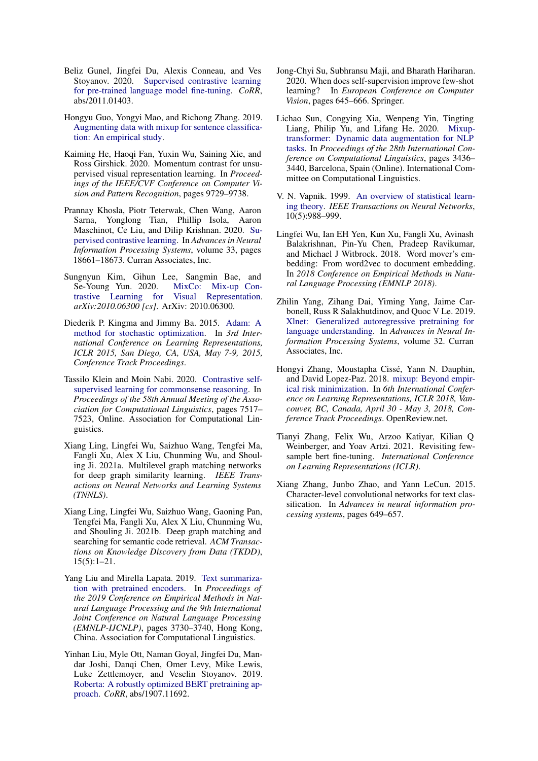- <span id="page-9-6"></span>Beliz Gunel, Jingfei Du, Alexis Conneau, and Ves Stoyanov. 2020. [Supervised contrastive learning](http://arxiv.org/abs/2011.01403) [for pre-trained language model fine-tuning.](http://arxiv.org/abs/2011.01403) *CoRR*, abs/2011.01403.
- <span id="page-9-13"></span>Hongyu Guo, Yongyi Mao, and Richong Zhang. 2019. [Augmenting data with mixup for sentence classifica](http://arxiv.org/abs/1905.08941)[tion: An empirical study.](http://arxiv.org/abs/1905.08941)
- <span id="page-9-2"></span>Kaiming He, Haoqi Fan, Yuxin Wu, Saining Xie, and Ross Girshick. 2020. Momentum contrast for unsupervised visual representation learning. In *Proceedings of the IEEE/CVF Conference on Computer Vision and Pattern Recognition*, pages 9729–9738.
- <span id="page-9-5"></span>Prannay Khosla, Piotr Teterwak, Chen Wang, Aaron Sarna, Yonglong Tian, Phillip Isola, Aaron Maschinot, Ce Liu, and Dilip Krishnan. 2020. [Su](https://proceedings.neurips.cc/paper/2020/file/d89a66c7c80a29b1bdbab0f2a1a94af8-Paper.pdf)[pervised contrastive learning.](https://proceedings.neurips.cc/paper/2020/file/d89a66c7c80a29b1bdbab0f2a1a94af8-Paper.pdf) In *Advances in Neural Information Processing Systems*, volume 33, pages 18661–18673. Curran Associates, Inc.
- <span id="page-9-9"></span>Sungnyun Kim, Gihun Lee, Sangmin Bae, and Se-Young Yun. 2020. [MixCo: Mix-up Con](http://arxiv.org/abs/2010.06300)[trastive Learning for Visual Representation.](http://arxiv.org/abs/2010.06300) *arXiv:2010.06300 [cs]*. ArXiv: 2010.06300.
- <span id="page-9-15"></span>Diederik P. Kingma and Jimmy Ba. 2015. [Adam: A](http://arxiv.org/abs/1412.6980) [method for stochastic optimization.](http://arxiv.org/abs/1412.6980) In *3rd International Conference on Learning Representations, ICLR 2015, San Diego, CA, USA, May 7-9, 2015, Conference Track Proceedings*.
- <span id="page-9-4"></span>Tassilo Klein and Moin Nabi. 2020. [Contrastive self](https://doi.org/10.18653/v1/2020.acl-main.671)[supervised learning for commonsense reasoning.](https://doi.org/10.18653/v1/2020.acl-main.671) In *Proceedings of the 58th Annual Meeting of the Association for Computational Linguistics*, pages 7517– 7523, Online. Association for Computational Linguistics.
- <span id="page-9-18"></span>Xiang Ling, Lingfei Wu, Saizhuo Wang, Tengfei Ma, Fangli Xu, Alex X Liu, Chunming Wu, and Shouling Ji. 2021a. Multilevel graph matching networks for deep graph similarity learning. *IEEE Transactions on Neural Networks and Learning Systems (TNNLS)*.
- <span id="page-9-17"></span>Xiang Ling, Lingfei Wu, Saizhuo Wang, Gaoning Pan, Tengfei Ma, Fangli Xu, Alex X Liu, Chunming Wu, and Shouling Ji. 2021b. Deep graph matching and searching for semantic code retrieval. *ACM Transactions on Knowledge Discovery from Data (TKDD)*, 15(5):1–21.
- <span id="page-9-10"></span>Yang Liu and Mirella Lapata. 2019. [Text summariza](https://doi.org/10.18653/v1/D19-1387)[tion with pretrained encoders.](https://doi.org/10.18653/v1/D19-1387) In *Proceedings of the 2019 Conference on Empirical Methods in Natural Language Processing and the 9th International Joint Conference on Natural Language Processing (EMNLP-IJCNLP)*, pages 3730–3740, Hong Kong, China. Association for Computational Linguistics.
- <span id="page-9-7"></span>Yinhan Liu, Myle Ott, Naman Goyal, Jingfei Du, Mandar Joshi, Danqi Chen, Omer Levy, Mike Lewis, Luke Zettlemoyer, and Veselin Stoyanov. 2019. [Roberta: A robustly optimized BERT pretraining ap](http://arxiv.org/abs/1907.11692)[proach.](http://arxiv.org/abs/1907.11692) *CoRR*, abs/1907.11692.
- <span id="page-9-1"></span>Jong-Chyi Su, Subhransu Maji, and Bharath Hariharan. 2020. When does self-supervision improve few-shot learning? In *European Conference on Computer Vision*, pages 645–666. Springer.
- <span id="page-9-14"></span>Lichao Sun, Congying Xia, Wenpeng Yin, Tingting Liang, Philip Yu, and Lifang He. 2020. [Mixup](https://doi.org/10.18653/v1/2020.coling-main.305)[transformer: Dynamic data augmentation for NLP](https://doi.org/10.18653/v1/2020.coling-main.305) [tasks.](https://doi.org/10.18653/v1/2020.coling-main.305) In *Proceedings of the 28th International Conference on Computational Linguistics*, pages 3436– 3440, Barcelona, Spain (Online). International Committee on Computational Linguistics.
- <span id="page-9-8"></span>V. N. Vapnik. 1999. [An overview of statistical learn](https://doi.org/10.1109/72.788640)[ing theory.](https://doi.org/10.1109/72.788640) *IEEE Transactions on Neural Networks*, 10(5):988–999.
- <span id="page-9-16"></span>Lingfei Wu, Ian EH Yen, Kun Xu, Fangli Xu, Avinash Balakrishnan, Pin-Yu Chen, Pradeep Ravikumar, and Michael J Witbrock. 2018. Word mover's embedding: From word2vec to document embedding. In *2018 Conference on Empirical Methods in Natural Language Processing (EMNLP 2018)*.
- <span id="page-9-11"></span>Zhilin Yang, Zihang Dai, Yiming Yang, Jaime Carbonell, Russ R Salakhutdinov, and Quoc V Le. 2019. [Xlnet: Generalized autoregressive pretraining for](https://proceedings.neurips.cc/paper/2019/file/dc6a7e655d7e5840e66733e9ee67cc69-Paper.pdf) [language understanding.](https://proceedings.neurips.cc/paper/2019/file/dc6a7e655d7e5840e66733e9ee67cc69-Paper.pdf) In *Advances in Neural Information Processing Systems*, volume 32. Curran Associates, Inc.
- <span id="page-9-3"></span>Hongyi Zhang, Moustapha Cissé, Yann N. Dauphin, and David Lopez-Paz. 2018. [mixup: Beyond empir](https://openreview.net/forum?id=r1Ddp1-Rb)[ical risk minimization.](https://openreview.net/forum?id=r1Ddp1-Rb) In *6th International Conference on Learning Representations, ICLR 2018, Vancouver, BC, Canada, April 30 - May 3, 2018, Conference Track Proceedings*. OpenReview.net.
- <span id="page-9-0"></span>Tianyi Zhang, Felix Wu, Arzoo Katiyar, Kilian Q Weinberger, and Yoav Artzi. 2021. Revisiting fewsample bert fine-tuning. *International Conference on Learning Representations (ICLR)*.
- <span id="page-9-12"></span>Xiang Zhang, Junbo Zhao, and Yann LeCun. 2015. Character-level convolutional networks for text classification. In *Advances in neural information processing systems*, pages 649–657.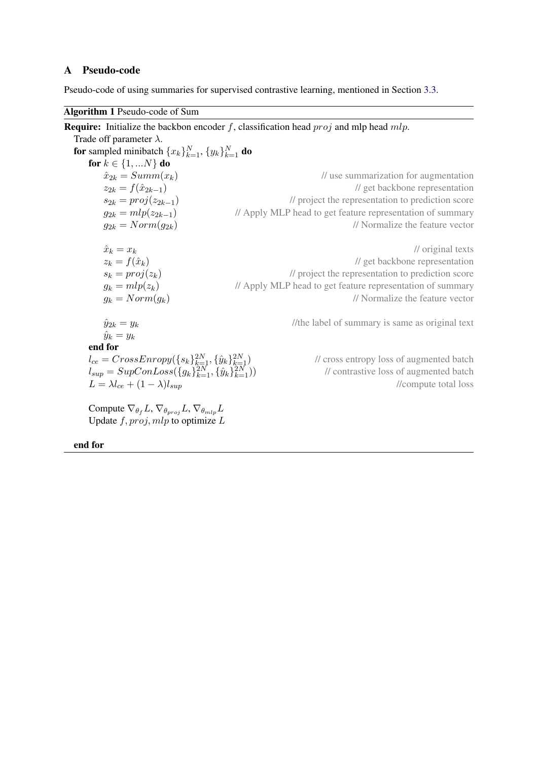# A Pseudo-code

Pseudo-code of using summaries for supervised contrastive learning, mentioned in Section [3.3.](#page-2-3)

Algorithm 1 Pseudo-code of Sum

**Require:** Initialize the backbon encoder f, classification head  $proj$  and mlp head  $mlp$ . Trade off parameter  $\lambda$ . for sampled minibatch  $\{x_k\}_{k=1}^N$ ,  $\{y_k\}_{k=1}^N$  do for  $k \in \{1, ...N\}$  do  $\hat{x}_{2k} = Summ(x_k)$  // use summarization for augmentation  $z_{2k} = f(\hat{x}_{2k-1})$  // get backbone representation  $s_{2k} = proj(z_{2k-1})$  // project the representation to prediction score  $g_{2k} = mlp(z_{2k-1})$  // Apply MLP head to get feature representation of summary  $g_{2k} = Norm(g_{2k})$  // Normalize the feature vector  $\hat{x}_k = x_k$  // original texts  $z_k = f(\hat{x}_k)$ <br>  $s_k = proj(z_k)$  // project the representation to prediction score  $\frac{1}{2}$  project the representation to prediction score  $g_k = mlp(z_k)$  // Apply MLP head to get feature representation of summary  $g_k = Norm(g_k)$  // Normalize the feature vector  $\hat{y}_{2k} = y_k$  //the label of summary is same as original text  $\hat{y}_k = y_k$ end for  $l_{ce} = CrossEnropy(\{s_k\}_{k=1}^{2N}, \{\hat{y}_k\}_{k=1}^{2N})$ // cross entropy loss of augmented batch  $l_{sup} = SupConLoss(\{g_k\}_{k=1}^{2N}, \{\hat{y}_k\}_{k=1}^{2N})$ // contrastive loss of augmented batch<br>//compute total loss  $L = \lambda l_{ce} + (1 - \lambda) l_{sup}$ Compute  $\nabla_{\theta_f} L$ ,  $\nabla_{\theta_{proj}} L$ ,  $\nabla_{\theta_{mlp}} L$ Update  $f, \text{proj}, \text{mlp}$  to optimize  $L$ 

end for